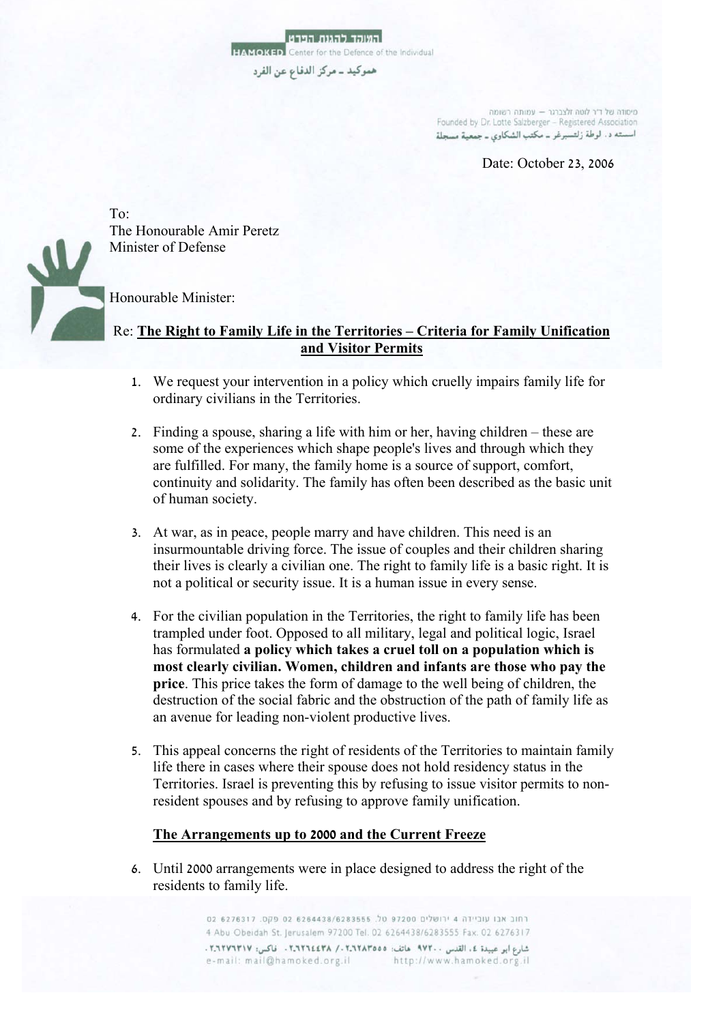מיסודה של ד"ר לוטה זלצברגר - עמותה רשומה Founded by Dr. Lotte Salzberger - Registered Association اسسته د. لوطة زلتسبرغر ــ مكتب الشكاوي ــ جمعية مسجلة

Date: October 23, 2006



To: The Honourable Amir Peretz Minister of Defense

Honourable Minister:

## Re: **The Right to Family Life in the Territories – Criteria for Family Unification and Visitor Permits**

- 1. We request your intervention in a policy which cruelly impairs family life for ordinary civilians in the Territories.
- 2. Finding a spouse, sharing a life with him or her, having children these are some of the experiences which shape people's lives and through which they are fulfilled. For many, the family home is a source of support, comfort, continuity and solidarity. The family has often been described as the basic unit of human society.
- 3. At war, as in peace, people marry and have children. This need is an insurmountable driving force. The issue of couples and their children sharing their lives is clearly a civilian one. The right to family life is a basic right. It is not a political or security issue. It is a human issue in every sense.
- 4. For the civilian population in the Territories, the right to family life has been trampled under foot. Opposed to all military, legal and political logic, Israel has formulated **a policy which takes a cruel toll on a population which is most clearly civilian. Women, children and infants are those who pay the price**. This price takes the form of damage to the well being of children, the destruction of the social fabric and the obstruction of the path of family life as an avenue for leading non-violent productive lives.
- 5. This appeal concerns the right of residents of the Territories to maintain family life there in cases where their spouse does not hold residency status in the Territories. Israel is preventing this by refusing to issue visitor permits to nonresident spouses and by refusing to approve family unification.

## **The Arrangements up to 2000 and the Current Freeze**

6. Until 2000 arrangements were in place designed to address the right of the residents to family life.

> רחוב אבו עוביידה 4 ירושלים 97200 טל. 6264438/6283555 02 פקס. 6276317 02 4 Abu Obeidah St. Jerusalem 97200 Tel. 02 6264438/6283555 Fax. 02 6276317 شارع ابو عبيدة ٤، القدس ٧٧٢٠٠ هاتف: ٢.٦٢٨٣٥٥٥، ٢.٦٢٦٤٤٣٨ . فاكس: ٢.٦٢٧٦٣١٧. e-mail: mail@hamoked.org.il http://www.hamoked.org.il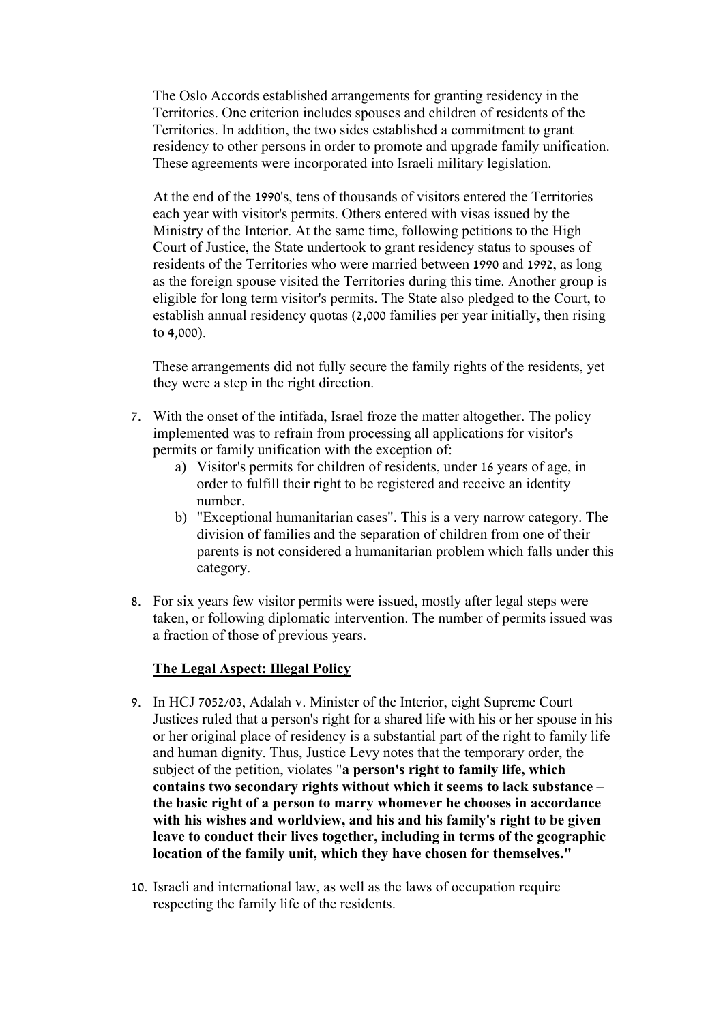The Oslo Accords established arrangements for granting residency in the Territories. One criterion includes spouses and children of residents of the Territories. In addition, the two sides established a commitment to grant residency to other persons in order to promote and upgrade family unification. These agreements were incorporated into Israeli military legislation.

At the end of the 1990's, tens of thousands of visitors entered the Territories each year with visitor's permits. Others entered with visas issued by the Ministry of the Interior. At the same time, following petitions to the High Court of Justice, the State undertook to grant residency status to spouses of residents of the Territories who were married between 1990 and 1992, as long as the foreign spouse visited the Territories during this time. Another group is eligible for long term visitor's permits. The State also pledged to the Court, to establish annual residency quotas (2,000 families per year initially, then rising to 4,000).

These arrangements did not fully secure the family rights of the residents, yet they were a step in the right direction.

- 7. With the onset of the intifada, Israel froze the matter altogether. The policy implemented was to refrain from processing all applications for visitor's permits or family unification with the exception of:
	- a) Visitor's permits for children of residents, under 16 years of age, in order to fulfill their right to be registered and receive an identity number.
	- b) "Exceptional humanitarian cases". This is a very narrow category. The division of families and the separation of children from one of their parents is not considered a humanitarian problem which falls under this category.
- 8. For six years few visitor permits were issued, mostly after legal steps were taken, or following diplomatic intervention. The number of permits issued was a fraction of those of previous years.

## **The Legal Aspect: Illegal Policy**

- 9. In HCJ 7052/03, Adalah v. Minister of the Interior, eight Supreme Court Justices ruled that a person's right for a shared life with his or her spouse in his or her original place of residency is a substantial part of the right to family life and human dignity. Thus, Justice Levy notes that the temporary order, the subject of the petition, violates "**a person's right to family life, which contains two secondary rights without which it seems to lack substance – the basic right of a person to marry whomever he chooses in accordance with his wishes and worldview, and his and his family's right to be given leave to conduct their lives together, including in terms of the geographic location of the family unit, which they have chosen for themselves."**
- 10. Israeli and international law, as well as the laws of occupation require respecting the family life of the residents.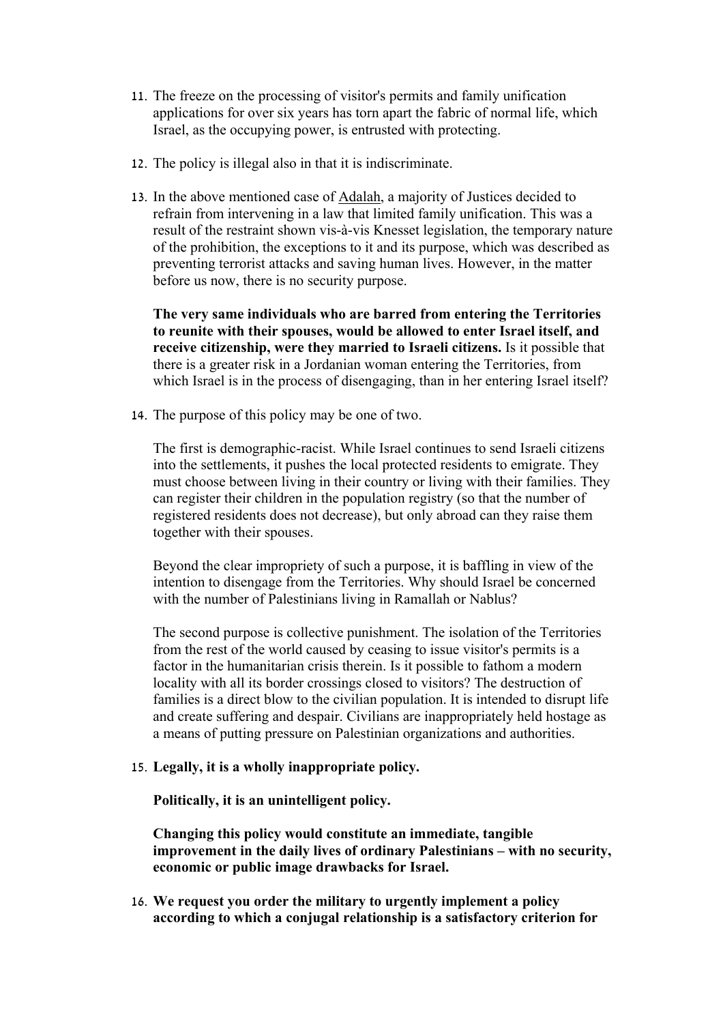- 11. The freeze on the processing of visitor's permits and family unification applications for over six years has torn apart the fabric of normal life, which Israel, as the occupying power, is entrusted with protecting.
- 12. The policy is illegal also in that it is indiscriminate.
- 13. In the above mentioned case of Adalah, a majority of Justices decided to refrain from intervening in a law that limited family unification. This was a result of the restraint shown vis-à-vis Knesset legislation, the temporary nature of the prohibition, the exceptions to it and its purpose, which was described as preventing terrorist attacks and saving human lives. However, in the matter before us now, there is no security purpose.

**The very same individuals who are barred from entering the Territories to reunite with their spouses, would be allowed to enter Israel itself, and receive citizenship, were they married to Israeli citizens.** Is it possible that there is a greater risk in a Jordanian woman entering the Territories, from which Israel is in the process of disengaging, than in her entering Israel itself?

14. The purpose of this policy may be one of two.

The first is demographic-racist. While Israel continues to send Israeli citizens into the settlements, it pushes the local protected residents to emigrate. They must choose between living in their country or living with their families. They can register their children in the population registry (so that the number of registered residents does not decrease), but only abroad can they raise them together with their spouses.

Beyond the clear impropriety of such a purpose, it is baffling in view of the intention to disengage from the Territories. Why should Israel be concerned with the number of Palestinians living in Ramallah or Nablus?

The second purpose is collective punishment. The isolation of the Territories from the rest of the world caused by ceasing to issue visitor's permits is a factor in the humanitarian crisis therein. Is it possible to fathom a modern locality with all its border crossings closed to visitors? The destruction of families is a direct blow to the civilian population. It is intended to disrupt life and create suffering and despair. Civilians are inappropriately held hostage as a means of putting pressure on Palestinian organizations and authorities.

## 15. **Legally, it is a wholly inappropriate policy.**

**Politically, it is an unintelligent policy.** 

**Changing this policy would constitute an immediate, tangible improvement in the daily lives of ordinary Palestinians – with no security, economic or public image drawbacks for Israel.** 

16. **We request you order the military to urgently implement a policy according to which a conjugal relationship is a satisfactory criterion for**